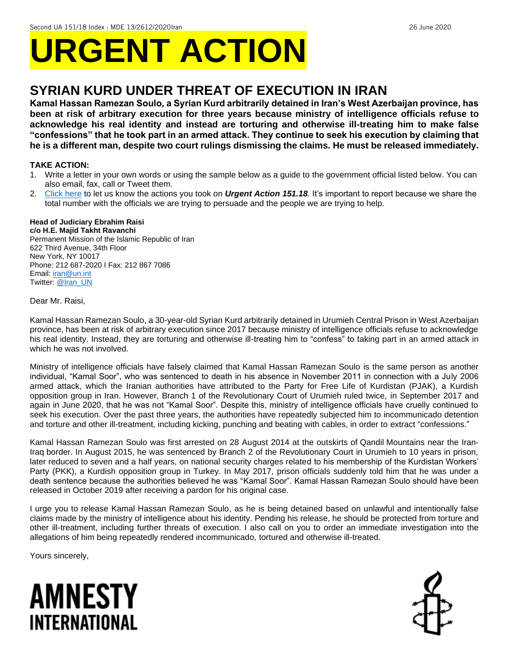# **URGENT ACTION**

## **SYRIAN KURD UNDER THREAT OF EXECUTION IN IRAN**

**Kamal Hassan Ramezan Soulo, a Syrian Kurd arbitrarily detained in Iran's West Azerbaijan province, has been at risk of arbitrary execution for three years because ministry of intelligence officials refuse to acknowledge his real identity and instead are torturing and otherwise ill-treating him to make false "confessions" that he took part in an armed attack. They continue to seek his execution by claiming that he is a different man, despite two court rulings dismissing the claims. He must be released immediately.**

#### **TAKE ACTION:**

- 1. Write a letter in your own words or using the sample below as a guide to the government official listed below. You can also email, fax, call or Tweet them.
- 2. [Click here](https://www.amnestyusa.org/report-urgent-actions/) to let us know the actions you took on *Urgent Action 151.18.* It's important to report because we share the total number with the officials we are trying to persuade and the people we are trying to help.

#### **Head of Judiciary Ebrahim Raisi**

**c/o H.E. Majid Takht Ravanchi** Permanent Mission of the Islamic Republic of Iran 622 Third Avenue, 34th Floor New York, NY 10017 Phone: 212 687-2020 I Fax: 212 867 7086 Email[: iran@un.int](mailto:iran@un.int) Twitter: [@Iran\\_UN](https://twitter.com/Iran_UN?ref_src=twsrc%5Egoogle%7Ctwcamp%5Eserp%7Ctwgr%5Eauthor)

#### Dear Mr. Raisi,

Kamal Hassan Ramezan Soulo, a 30-year-old Syrian Kurd arbitrarily detained in Urumieh Central Prison in West Azerbaijan province, has been at risk of arbitrary execution since 2017 because ministry of intelligence officials refuse to acknowledge his real identity. Instead, they are torturing and otherwise ill-treating him to "confess" to taking part in an armed attack in which he was not involved.

Ministry of intelligence officials have falsely claimed that Kamal Hassan Ramezan Soulo is the same person as another individual, "Kamal Soor", who was sentenced to death in his absence in November 2011 in connection with a July 2006 armed attack, which the Iranian authorities have attributed to the Party for Free Life of Kurdistan (PJAK), a Kurdish opposition group in Iran. However, Branch 1 of the Revolutionary Court of Urumieh ruled twice, in September 2017 and again in June 2020, that he was not "Kamal Soor". Despite this, ministry of intelligence officials have cruelly continued to seek his execution. Over the past three years, the authorities have repeatedly subjected him to incommunicado detention and torture and other ill-treatment, including kicking, punching and beating with cables, in order to extract "confessions."

Kamal Hassan Ramezan Soulo was first arrested on 28 August 2014 at the outskirts of Qandil Mountains near the Iran-Iraq border. In August 2015, he was sentenced by Branch 2 of the Revolutionary Court in Urumieh to 10 years in prison, later reduced to seven and a half years, on national security charges related to his membership of the Kurdistan Workers' Party (PKK), a Kurdish opposition group in Turkey. In May 2017, prison officials suddenly told him that he was under a death sentence because the authorities believed he was "Kamal Soor". Kamal Hassan Ramezan Soulo should have been released in October 2019 after receiving a pardon for his original case.

I urge you to release Kamal Hassan Ramezan Soulo, as he is being detained based on unlawful and intentionally false claims made by the ministry of intelligence about his identity. Pending his release, he should be protected from torture and other ill-treatment, including further threats of execution. I also call on you to order an immediate investigation into the allegations of him being repeatedly rendered incommunicado, tortured and otherwise ill-treated.

Yours sincerely,